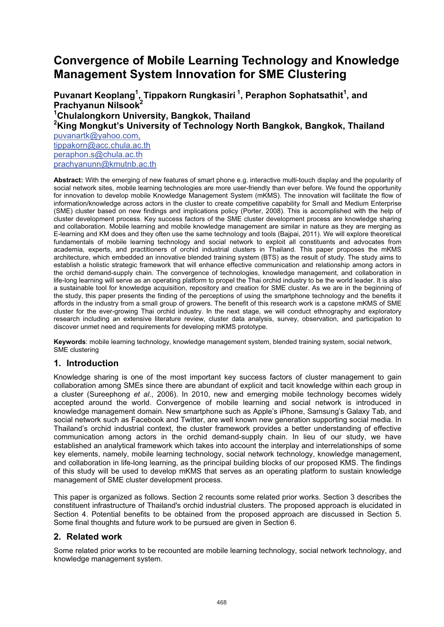## **Convergence of Mobile Learning Technology and Knowledge Management System Innovation for SME Clustering**

Puvanart Keoplang<sup>1</sup>, Tippakorn Rungkasiri<sup>1</sup>, Peraphon Sophatsathit<sup>1</sup>, and **Prachyanun Nilsook2 1 Chulalongkorn University, Bangkok, Thailand 2 King Mongkut's University of Technology North Bangkok, Bangkok, Thailand**  puvanartk@yahoo.com, tippakorn@acc.chula.ac.th

peraphon.s@chula.ac.th prachyanunn@kmutnb.ac.th

**Abstract:** With the emerging of new features of smart phone e.g. interactive multi-touch display and the popularity of social network sites, mobile learning technologies are more user-friendly than ever before. We found the opportunity for innovation to develop mobile Knowledge Management System (mKMS). The innovation will facilitate the flow of information/knowledge across actors in the cluster to create competitive capability for Small and Medium Enterprise (SME) cluster based on new findings and implications policy (Porter, 2008). This is accomplished with the help of cluster development process. Key success factors of the SME cluster development process are knowledge sharing and collaboration. Mobile learning and mobile knowledge management are similar in nature as they are merging as E-learning and KM does and they often use the same technology and tools (Bajpai, 2011). We will explore theoretical fundamentals of mobile learning technology and social network to exploit all constituents and advocates from academia, experts, and practitioners of orchid industrial clusters in Thailand. This paper proposes the mKMS architecture, which embedded an innovative blended training system (BTS) as the result of study. The study aims to establish a holistic strategic framework that will enhance effective communication and relationship among actors in the orchid demand-supply chain. The convergence of technologies, knowledge management, and collaboration in life-long learning will serve as an operating platform to propel the Thai orchid industry to be the world leader. It is also a sustainable tool for knowledge acquisition, repository and creation for SME cluster. As we are in the beginning of the study, this paper presents the finding of the perceptions of using the smartphone technology and the benefits it affords in the industry from a small group of growers. The benefit of this research work is a capstone mKMS of SME cluster for the ever-growing Thai orchid industry. In the next stage, we will conduct ethnography and exploratory research including an extensive literature review, cluster data analysis, survey, observation, and participation to discover unmet need and requirements for developing mKMS prototype.

**Keywords**: mobile learning technology, knowledge management system, blended training system, social network, SME clustering

## **1. Introduction**

Knowledge sharing is one of the most important key success factors of cluster management to gain collaboration among SMEs since there are abundant of explicit and tacit knowledge within each group in a cluster (Sureephong *et al*., 2006). In 2010, new and emerging mobile technology becomes widely accepted around the world. Convergence of mobile learning and social network is introduced in knowledge management domain. New smartphone such as Apple's iPhone, Samsung's Galaxy Tab, and social network such as Facebook and Twitter, are well known new generation supporting social media. In Thailand's orchid industrial context, the cluster framework provides a better understanding of effective communication among actors in the orchid demand-supply chain. In lieu of our study, we have established an analytical framework which takes into account the interplay and interrelationships of some key elements, namely, mobile learning technology, social network technology, knowledge management, and collaboration in life-long learning, as the principal building blocks of our proposed KMS. The findings of this study will be used to develop mKMS that serves as an operating platform to sustain knowledge management of SME cluster development process.

This paper is organized as follows. Section 2 recounts some related prior works. Section 3 describes the constituent infrastructure of Thailand's orchid industrial clusters. The proposed approach is elucidated in Section 4. Potential benefits to be obtained from the proposed approach are discussed in Section 5. Some final thoughts and future work to be pursued are given in Section 6.

## **2. Related work**

Some related prior works to be recounted are mobile learning technology, social network technology, and knowledge management system.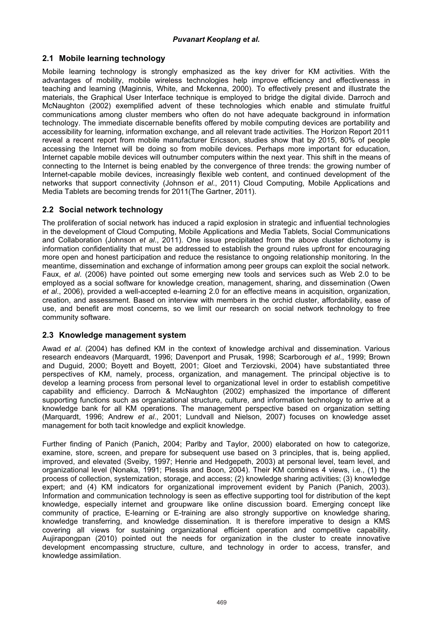## **2.1 Mobile learning technology**

Mobile learning technology is strongly emphasized as the key driver for KM activities. With the advantages of mobility, mobile wireless technologies help improve efficiency and effectiveness in teaching and learning (Maginnis, White, and Mckenna, 2000). To effectively present and illustrate the materials, the Graphical User Interface technique is employed to bridge the digital divide. Darroch and McNaughton (2002) exemplified advent of these technologies which enable and stimulate fruitful communications among cluster members who often do not have adequate background in information technology. The immediate discernable benefits offered by mobile computing devices are portability and accessibility for learning, information exchange, and all relevant trade activities. The Horizon Report 2011 reveal a recent report from mobile manufacturer Ericsson, studies show that by 2015, 80% of people accessing the Internet will be doing so from mobile devices. Perhaps more important for education, Internet capable mobile devices will outnumber computers within the next year. This shift in the means of connecting to the Internet is being enabled by the convergence of three trends: the growing number of Internet-capable mobile devices, increasingly flexible web content, and continued development of the networks that support connectivity (Johnson *et al*., 2011) Cloud Computing, Mobile Applications and Media Tablets are becoming trends for 2011(The Gartner, 2011).

## **2.2 Social network technology**

The proliferation of social network has induced a rapid explosion in strategic and influential technologies in the development of Cloud Computing, Mobile Applications and Media Tablets, Social Communications and Collaboration (Johnson *et al*., 2011). One issue precipitated from the above cluster dichotomy is information confidentiality that must be addressed to establish the ground rules upfront for encouraging more open and honest participation and reduce the resistance to ongoing relationship monitoring. In the meantime, dissemination and exchange of information among peer groups can exploit the social network. Faux, *et al*. (2006) have pointed out some emerging new tools and services such as Web 2.0 to be employed as a social software for knowledge creation, management, sharing, and dissemination (Owen *et al*., 2006), provided a well-accepted e-learning 2.0 for an effective means in acquisition, organization, creation, and assessment. Based on interview with members in the orchid cluster, affordability, ease of use, and benefit are most concerns, so we limit our research on social network technology to free community software.

#### **2.3 Knowledge management system**

Awad *et al*. (2004) has defined KM in the context of knowledge archival and dissemination. Various research endeavors (Marquardt, 1996; Davenport and Prusak, 1998; Scarborough *et al*., 1999; Brown and Duguid, 2000; Boyett and Boyett, 2001; Gloet and Terziovski, 2004) have substantiated three perspectives of KM, namely, process, organization, and management. The principal objective is to develop a learning process from personal level to organizational level in order to establish competitive capability and efficiency. Darroch & McNaughton (2002) emphasized the importance of different supporting functions such as organizational structure, culture, and information technology to arrive at a knowledge bank for all KM operations. The management perspective based on organization setting (Marquardt, 1996; Andrew *et al*., 2001; Lundvall and Nielson, 2007) focuses on knowledge asset management for both tacit knowledge and explicit knowledge.

Further finding of Panich (Panich, 2004; Parlby and Taylor, 2000) elaborated on how to categorize, examine, store, screen, and prepare for subsequent use based on 3 principles, that is, being applied, improved, and elevated (Sveiby, 1997; Henrie and Hedgepeth, 2003) at personal level, team level, and organizational level (Nonaka, 1991; Plessis and Boon, 2004). Their KM combines 4 views, i.e., (1) the process of collection, systemization, storage, and access; (2) knowledge sharing activities; (3) knowledge expert; and (4) KM indicators for organizational improvement evident by Panich (Panich, 2003). Information and communication technology is seen as effective supporting tool for distribution of the kept knowledge, especially internet and groupware like online discussion board. Emerging concept like community of practice, E-learning or E-training are also strongly supportive on knowledge sharing, knowledge transferring, and knowledge dissemination. It is therefore imperative to design a KMS covering all views for sustaining organizational efficient operation and competitive capability. Aujirapongpan (2010) pointed out the needs for organization in the cluster to create innovative development encompassing structure, culture, and technology in order to access, transfer, and knowledge assimilation.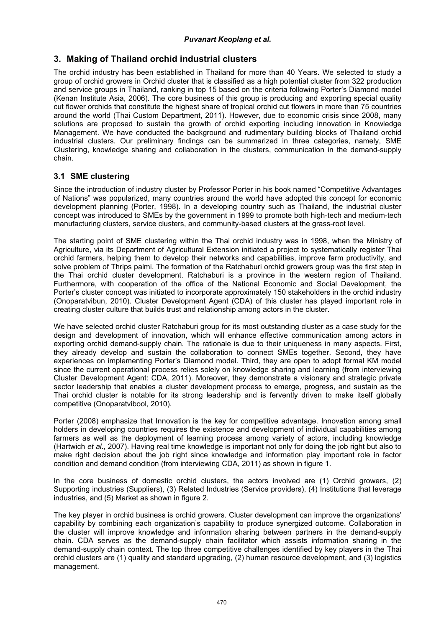## **3. Making of Thailand orchid industrial clusters**

The orchid industry has been established in Thailand for more than 40 Years. We selected to study a group of orchid growers in Orchid cluster that is classified as a high potential cluster from 322 production and service groups in Thailand, ranking in top 15 based on the criteria following Porter's Diamond model (Kenan Institute Asia, 2006). The core business of this group is producing and exporting special quality cut flower orchids that constitute the highest share of tropical orchid cut flowers in more than 75 countries around the world (Thai Custom Department, 2011). However, due to economic crisis since 2008, many solutions are proposed to sustain the growth of orchid exporting including innovation in Knowledge Management. We have conducted the background and rudimentary building blocks of Thailand orchid industrial clusters. Our preliminary findings can be summarized in three categories, namely, SME Clustering, knowledge sharing and collaboration in the clusters, communication in the demand-supply chain.

## **3.1 SME clustering**

Since the introduction of industry cluster by Professor Porter in his book named "Competitive Advantages of Nations" was popularized, many countries around the world have adopted this concept for economic development planning (Porter, 1998). In a developing country such as Thailand, the industrial cluster concept was introduced to SMEs by the government in 1999 to promote both high-tech and medium-tech manufacturing clusters, service clusters, and community-based clusters at the grass-root level.

The starting point of SME clustering within the Thai orchid industry was in 1998, when the Ministry of Agriculture, via its Department of Agricultural Extension initiated a project to systematically register Thai orchid farmers, helping them to develop their networks and capabilities, improve farm productivity, and solve problem of Thrips palmi. The formation of the Ratchaburi orchid growers group was the first step in the Thai orchid cluster development. Ratchaburi is a province in the western region of Thailand. Furthermore, with cooperation of the office of the National Economic and Social Development, the Porter's cluster concept was initiated to incorporate approximately 150 stakeholders in the orchid industry (Onoparatvibun, 2010). Cluster Development Agent (CDA) of this cluster has played important role in creating cluster culture that builds trust and relationship among actors in the cluster.

We have selected orchid cluster Ratchaburi group for its most outstanding cluster as a case study for the design and development of innovation, which will enhance effective communication among actors in exporting orchid demand-supply chain. The rationale is due to their uniqueness in many aspects. First, they already develop and sustain the collaboration to connect SMEs together. Second, they have experiences on implementing Porter's Diamond model. Third, they are open to adopt formal KM model since the current operational process relies solely on knowledge sharing and learning (from interviewing Cluster Development Agent: CDA, 2011). Moreover, they demonstrate a visionary and strategic private sector leadership that enables a cluster development process to emerge, progress, and sustain as the Thai orchid cluster is notable for its strong leadership and is fervently driven to make itself globally competitive (Onoparatvibool, 2010).

Porter (2008) emphasize that Innovation is the key for competitive advantage. Innovation among small holders in developing countries requires the existence and development of individual capabilities among farmers as well as the deployment of learning process among variety of actors, including knowledge (Hartwich *et al*., 2007). Having real time knowledge is important not only for doing the job right but also to make right decision about the job right since knowledge and information play important role in factor condition and demand condition (from interviewing CDA, 2011) as shown in figure 1.

In the core business of domestic orchid clusters, the actors involved are (1) Orchid growers, (2) Supporting industries (Suppliers), (3) Related Industries (Service providers), (4) Institutions that leverage industries, and (5) Market as shown in figure 2.

The key player in orchid business is orchid growers. Cluster development can improve the organizations' capability by combining each organization's capability to produce synergized outcome. Collaboration in the cluster will improve knowledge and information sharing between partners in the demand-supply chain. CDA serves as the demand-supply chain facilitator which assists information sharing in the demand-supply chain context. The top three competitive challenges identified by key players in the Thai orchid clusters are (1) quality and standard upgrading, (2) human resource development, and (3) logistics management.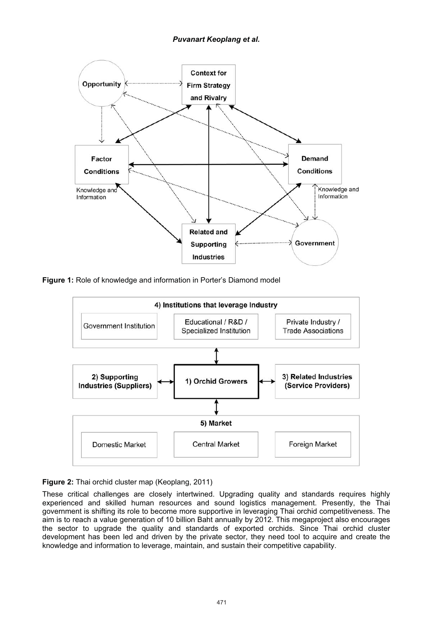

**Figure 1:** Role of knowledge and information in Porter's Diamond model



#### **Figure 2:** Thai orchid cluster map (Keoplang, 2011)

These critical challenges are closely intertwined. Upgrading quality and standards requires highly experienced and skilled human resources and sound logistics management. Presently, the Thai government is shifting its role to become more supportive in leveraging Thai orchid competitiveness. The aim is to reach a value generation of 10 billion Baht annually by 2012. This megaproject also encourages the sector to upgrade the quality and standards of exported orchids. Since Thai orchid cluster development has been led and driven by the private sector, they need tool to acquire and create the knowledge and information to leverage, maintain, and sustain their competitive capability.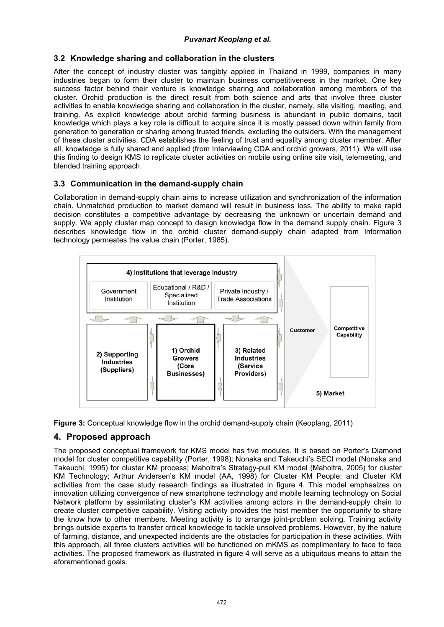# *Puvanart Keoplang et al.*

## **3.2 Knowledge sharing and collaboration in the clusters**

After the concept of industry cluster was tangibly applied in Thailand in 1999, companies in many industries began to form their cluster to maintain business competitiveness in the market. One key success factor behind their venture is knowledge sharing and collaboration among members of the cluster. Orchid production is the direct result from both science and arts that involve three cluster activities to enable knowledge sharing and collaboration in the cluster, namely, site visiting, meeting, and training. As explicit knowledge about orchid farming business is abundant in public domains, tacit knowledge which plays a key role is difficult to acquire since it is mostly passed down within family from generation to generation or sharing among trusted friends, excluding the outsiders. With the management of these cluster activities, CDA establishes the feeling of trust and equality among cluster member. After all, knowledge is fully shared and applied (from Interviewing CDA and orchid growers, 2011). We will use this finding to design KMS to replicate cluster activities on mobile using online site visit, telemeeting, and blended training approach.

## **3.3 Communication in the demand-supply chain**

Collaboration in demand-supply chain aims to increase utilization and synchronization of the information chain. Unmatched production to market demand will result in business loss. The ability to make rapid decision constitutes a competitive advantage by decreasing the unknown or uncertain demand and supply. We apply cluster map concept to design knowledge flow in the demand supply chain. Figure 3 describes knowledge flow in the orchid cluster demand-supply chain adapted from Information technology permeates the value chain (Porter, 1985).



**Figure 3:** Conceptual knowledge flow in the orchid demand-supply chain (Keoplang, 2011)

## **4. Proposed approach**

The proposed conceptual framework for KMS model has five modules. It is based on Porter's Diamond model for cluster competitive capability (Porter, 1998); Nonaka and Takeuchi's SECI model (Nonaka and Takeuchi, 1995) for cluster KM process; Maholtra's Strategy-pull KM model (Maholtra, 2005) for cluster KM Technology; Arthur Andersen's KM model (AA, 1998) for Cluster KM People; and Cluster KM activities from the case study research findings as illustrated in figure 4. This model emphasizes on innovation utilizing convergence of new smartphone technology and mobile learning technology on Social Network platform by assimilating cluster's KM activities among actors in the demand-supply chain to create cluster competitive capability. Visiting activity provides the host member the opportunity to share the know how to other members. Meeting activity is to arrange joint-problem solving. Training activity brings outside experts to transfer critical knowledge to tackle unsolved problems. However, by the nature of farming, distance, and unexpected incidents are the obstacles for participation in these activities. With this approach, all three clusters activities will be functioned on mKMS as complimentary to face to face activities. The proposed framework as illustrated in figure 4 will serve as a ubiquitous means to attain the aforementioned goals.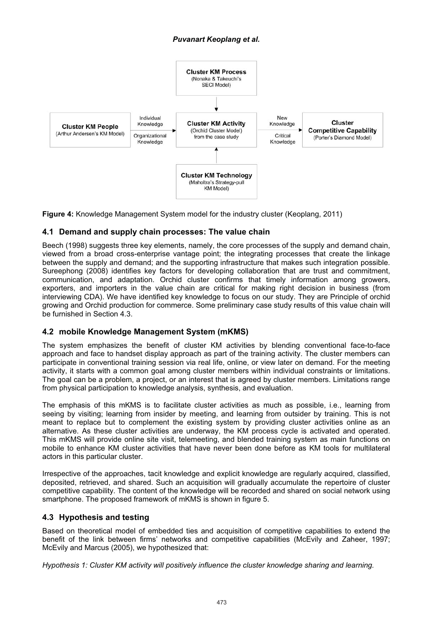# *Puvanart Keoplang et al.*



**Figure 4:** Knowledge Management System model for the industry cluster (Keoplang, 2011)

#### **4.1 Demand and supply chain processes: The value chain**

Beech (1998) suggests three key elements, namely, the core processes of the supply and demand chain, viewed from a broad cross-enterprise vantage point; the integrating processes that create the linkage between the supply and demand; and the supporting infrastructure that makes such integration possible. Sureephong (2008) identifies key factors for developing collaboration that are trust and commitment, communication, and adaptation. Orchid cluster confirms that timely information among growers, exporters, and importers in the value chain are critical for making right decision in business (from interviewing CDA). We have identified key knowledge to focus on our study. They are Principle of orchid growing and Orchid production for commerce. Some preliminary case study results of this value chain will be furnished in Section 4.3.

## **4.2 mobile Knowledge Management System (mKMS)**

The system emphasizes the benefit of cluster KM activities by blending conventional face-to-face approach and face to handset display approach as part of the training activity. The cluster members can participate in conventional training session via real life, online, or view later on demand. For the meeting activity, it starts with a common goal among cluster members within individual constraints or limitations. The goal can be a problem, a project, or an interest that is agreed by cluster members. Limitations range from physical participation to knowledge analysis, synthesis, and evaluation.

The emphasis of this mKMS is to facilitate cluster activities as much as possible, i.e., learning from seeing by visiting; learning from insider by meeting, and learning from outsider by training. This is not meant to replace but to complement the existing system by providing cluster activities online as an alternative. As these cluster activities are underway, the KM process cycle is activated and operated. This mKMS will provide online site visit, telemeeting, and blended training system as main functions on mobile to enhance KM cluster activities that have never been done before as KM tools for multilateral actors in this particular cluster.

Irrespective of the approaches, tacit knowledge and explicit knowledge are regularly acquired, classified, deposited, retrieved, and shared. Such an acquisition will gradually accumulate the repertoire of cluster competitive capability. The content of the knowledge will be recorded and shared on social network using smartphone. The proposed framework of mKMS is shown in figure 5.

#### **4.3 Hypothesis and testing**

Based on theoretical model of embedded ties and acquisition of competitive capabilities to extend the benefit of the link between firms' networks and competitive capabilities (McEvily and Zaheer, 1997; McEvily and Marcus (2005), we hypothesized that:

*Hypothesis 1: Cluster KM activity will positively influence the cluster knowledge sharing and learning.*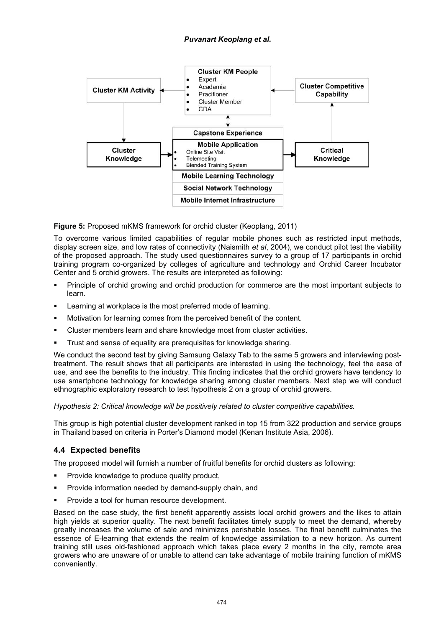

**Figure 5:** Proposed mKMS framework for orchid cluster (Keoplang, 2011)

To overcome various limited capabilities of regular mobile phones such as restricted input methods, display screen size, and low rates of connectivity (Naismith *et al*, 2004), we conduct pilot test the viability of the proposed approach. The study used questionnaires survey to a group of 17 participants in orchid training program co-organized by colleges of agriculture and technology and Orchid Career Incubator Center and 5 orchid growers. The results are interpreted as following:

- - Principle of orchid growing and orchid production for commerce are the most important subjects to learn.
- -Learning at workplace is the most preferred mode of learning.
- -Motivation for learning comes from the perceived benefit of the content.
- -Cluster members learn and share knowledge most from cluster activities.
- -Trust and sense of equality are prerequisites for knowledge sharing.

We conduct the second test by giving Samsung Galaxy Tab to the same 5 growers and interviewing posttreatment. The result shows that all participants are interested in using the technology, feel the ease of use, and see the benefits to the industry. This finding indicates that the orchid growers have tendency to use smartphone technology for knowledge sharing among cluster members. Next step we will conduct ethnographic exploratory research to test hypothesis 2 on a group of orchid growers.

*Hypothesis 2: Critical knowledge will be positively related to cluster competitive capabilities.* 

This group is high potential cluster development ranked in top 15 from 322 production and service groups in Thailand based on criteria in Porter's Diamond model (Kenan Institute Asia, 2006).

## **4.4 Expected benefits**

The proposed model will furnish a number of fruitful benefits for orchid clusters as following:

- -Provide knowledge to produce quality product,
- -Provide information needed by demand-supply chain, and
- -Provide a tool for human resource development.

Based on the case study, the first benefit apparently assists local orchid growers and the likes to attain high yields at superior quality. The next benefit facilitates timely supply to meet the demand, whereby greatly increases the volume of sale and minimizes perishable losses. The final benefit culminates the essence of E-learning that extends the realm of knowledge assimilation to a new horizon. As current training still uses old-fashioned approach which takes place every 2 months in the city, remote area growers who are unaware of or unable to attend can take advantage of mobile training function of mKMS conveniently.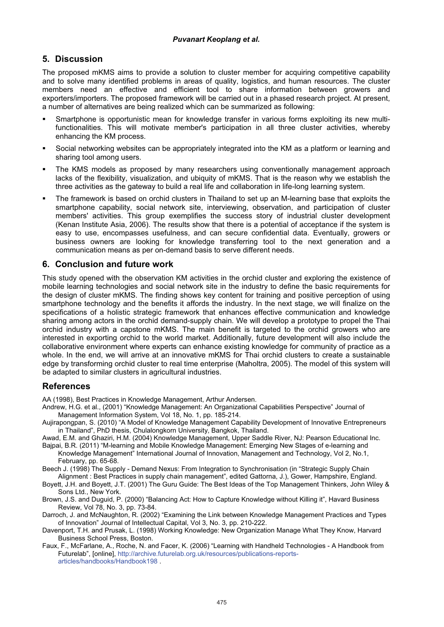## **5. Discussion**

The proposed mKMS aims to provide a solution to cluster member for acquiring competitive capability and to solve many identified problems in areas of quality, logistics, and human resources. The cluster members need an effective and efficient tool to share information between growers and exporters/importers. The proposed framework will be carried out in a phased research project. At present, a number of alternatives are being realized which can be summarized as following:

- - Smartphone is opportunistic mean for knowledge transfer in various forms exploiting its new multifunctionalities. This will motivate member's participation in all three cluster activities, whereby enhancing the KM process.
- - Social networking websites can be appropriately integrated into the KM as a platform or learning and sharing tool among users.
- - The KMS models as proposed by many researchers using conventionally management approach lacks of the flexibility, visualization, and ubiquity of mKMS. That is the reason why we establish the three activities as the gateway to build a real life and collaboration in life-long learning system.
- - The framework is based on orchid clusters in Thailand to set up an M-learning base that exploits the smartphone capability, social network site, interviewing, observation, and participation of cluster members' activities. This group exemplifies the success story of industrial cluster development (Kenan Institute Asia, 2006). The results show that there is a potential of acceptance if the system is easy to use, encompasses usefulness, and can secure confidential data. Eventually, growers or business owners are looking for knowledge transferring tool to the next generation and a communication means as per on-demand basis to serve different needs.

## **6. Conclusion and future work**

This study opened with the observation KM activities in the orchid cluster and exploring the existence of mobile learning technologies and social network site in the industry to define the basic requirements for the design of cluster mKMS. The finding shows key content for training and positive perception of using smartphone technology and the benefits it affords the industry. In the next stage, we will finalize on the specifications of a holistic strategic framework that enhances effective communication and knowledge sharing among actors in the orchid demand-supply chain. We will develop a prototype to propel the Thai orchid industry with a capstone mKMS. The main benefit is targeted to the orchid growers who are interested in exporting orchid to the world market. Additionally, future development will also include the collaborative environment where experts can enhance existing knowledge for community of practice as a whole. In the end, we will arrive at an innovative mKMS for Thai orchid clusters to create a sustainable edge by transforming orchid cluster to real time enterprise (Maholtra, 2005). The model of this system will be adapted to similar clusters in agricultural industries.

## **References**

AA (1998), Best Practices in Knowledge Management, Arthur Andersen.

- Andrew, H.G. et al., (2001) "Knowledge Management: An Organizational Capabilities Perspective" Journal of Management Information System, Vol 18, No. 1, pp. 185-214.
- Aujirapongpan, S. (2010) "A Model of Knowledge Management Capability Development of Innovative Entrepreneurs in Thailand", PhD thesis, Chulalongkorn University, Bangkok, Thailand.

Awad, E.M. and Ghaziri, H.M. (2004) Knowledge Management, Upper Saddle River, NJ: Pearson Educational Inc. Bajpai, B.R. (2011) "M-learning and Mobile Knowledge Management: Emerging New Stages of e-learning and

Knowledge Management" International Journal of Innovation, Management and Technology, Vol 2, No.1, February, pp. 65-68.

Beech J. (1998) The Supply - Demand Nexus: From Integration to Synchronisation (in "Strategic Supply Chain Alignment : Best Practices in supply chain management", edited Gattorna, J.), Gower, Hampshire, England.

Boyett, J.H. and Boyett, J.T. (2001) The Guru Guide: The Best Ideas of the Top Management Thinkers, John Wiley & Sons Ltd., New York.

Brown, J.S. and Duguid, P. (2000) "Balancing Act: How to Capture Knowledge without Killing it", Havard Business Review, Vol 78, No. 3, pp. 73-84.

Darroch, J. and McNaughton, R. (2002) "Examining the Link between Knowledge Management Practices and Types of Innovation" Journal of Intellectual Capital, Vol 3, No. 3, pp. 210-222.

Davenport, T.H. and Prusak, L. (1998) Working Knowledge: New Organization Manage What They Know, Harvard Business School Press, Boston.

Faux, F., McFarlane, A., Roche, N. and Facer, K. (2006) "Learning with Handheld Technologies - A Handbook from Futurelab", [online], http://archive.futurelab.org.uk/resources/publications-reportsarticles/handbooks/Handbook198 .